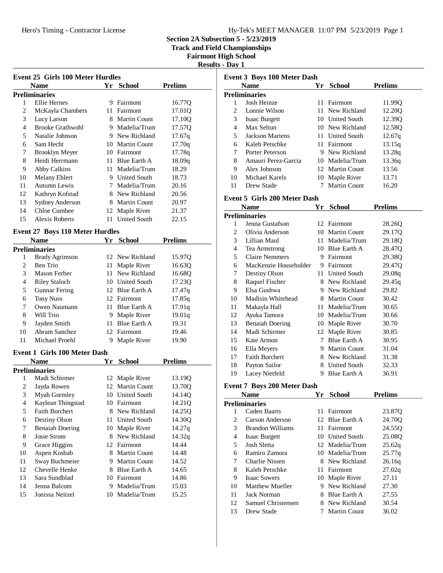| Hy-Tek's MEET MANAGER 11:07 PM 5/23/2019 Page 1 |  |  |  |
|-------------------------------------------------|--|--|--|
|-------------------------------------------------|--|--|--|

**Track and Field Championships**

**Fairmont High School**

| Results - | Dav |  |
|-----------|-----|--|
|           |     |  |

| <b>Event 25 Girls 100 Meter Hurdles</b> |                                        |    |                     |                |
|-----------------------------------------|----------------------------------------|----|---------------------|----------------|
|                                         | <b>Name</b>                            | Yr | <b>School</b>       | <b>Prelims</b> |
|                                         | <b>Preliminaries</b>                   |    |                     |                |
| 1                                       | <b>Ellie Hernes</b>                    | 9  | Fairmont            | 16.77Q         |
| 2                                       | McKayla Chambers                       | 11 | Fairmont            | 17.01Q         |
| 3                                       | Lucy Larson                            | 8  | <b>Martin Count</b> | 17.10Q         |
| 4                                       | Brooke Grathwohl                       |    | 9 Madelia/Trum      | 17.57Q         |
| 5                                       | Natalie Johnson                        |    | 9 New Richland      | 17.67q         |
| 6                                       | Sam Hecht                              |    | 10 Martin Count     | 17.70q         |
| 7                                       | Brooklyn Meyer                         |    | 10 Fairmont         | 17.78q         |
| 8                                       | Heidi Herrmann                         | 11 | Blue Earth A        | 18.09q         |
| 9                                       | Abby Calkins                           | 11 | Madelia/Trum        | 18.29          |
| 10                                      | Melany Ehlert                          |    | 9 United South      | 18.73          |
| 11                                      | Autumn Lewis                           |    | 7 Madelia/Trum      | 20.16          |
| 12                                      | Kathryn Kofstad                        |    | 8 New Richland      | 20.56          |
| 13                                      | Sydney Anderson                        |    | 8 Martin Count      | 20.97          |
| 14                                      | Chloe Cumbee                           | 12 | Maple River         | 21.37          |
| 15                                      | Alexis Roberts                         | 11 | <b>United South</b> | 22.15          |
|                                         | <b>Event 27 Boys 110 Meter Hurdles</b> |    |                     |                |
|                                         | <b>Name</b>                            |    | Yr School           | <b>Prelims</b> |
|                                         | <b>Preliminaries</b>                   |    |                     |                |
| 1                                       | <b>Brady Agrimson</b>                  |    | 12 New Richland     | 15.97Q         |
| 2                                       | Ben Trio                               | 11 | Maple River         | 16.63Q         |
| 3                                       | Mason Ferber                           | 11 | New Richland        | 16.68Q         |
| 4                                       | <b>Riley Staloch</b>                   |    | 10 United South     | 17.23Q         |

5 Gunnar Fering 12 Blue Earth A 17.47q 6 Tony Nuss 12 Fairmont 17.85q 7 Owen Naumann 11 Blue Earth A 17.91q 8 Will Trio 9 Maple River 19.01q 9 Jayden Smith 11 Blue Earth A 19.31 10 Abram Sanchez 12 Fairmont 19.46 11 Michael Proehl 9 Maple River 19.90 **Event 1 Girls 100 Meter Dash Name Yr School Prelims Preliminaries** 1 Madi Schirmer 12 Maple River 13.19Q

| 2  | Jayda Rowen            |    | 12 Martin Count | 13.70O             |
|----|------------------------|----|-----------------|--------------------|
| 3  | Myah Gormley           |    | 10 United South | 14.14O             |
| 4  | Kaylean Thingstad      |    | 10 Fairmont     | 14.21Q             |
| 5  | <b>Faith Borchert</b>  |    | 8 New Richland  | 14.250             |
| 6  | Destiny Olson          |    | 11 United South | 14.30O             |
| 7  | <b>Benaiah Doering</b> |    | 10 Maple River  | 14.27q             |
| 8  | Josie Strom            |    | 8 New Richland  | 14.32 <sub>q</sub> |
| 9  | Grace Higgins          |    | 12 Fairmont     | 14.44              |
| 10 | Aspen Kosbab           |    | 8 Martin Count  | 14.48              |
| 11 | Sway Buchmeier         |    | 9 Martin Count  | 14.52              |
| 12 | Chevelle Henke         | 8  | Blue Earth A    | 14.65              |
| 13 | Sara Sundblad          | 10 | Fairmont        | 14.86              |
| 14 | Jenna Balcom           | 9  | Madelia/Trum    | 15.03              |
| 15 | Jonissa Neitzel        |    | 10 Madelia/Trum | 15.25              |
|    |                        |    |                 |                    |

| Event 3 Boys 100 Meter Dash<br>Yr School<br><b>Prelims</b><br><b>Name</b><br><b>Preliminaries</b><br>Josh Heinze<br>11<br>1<br>Fairmont<br>11.99Q<br>2<br>Lonnie Wilson<br>11 New Richland<br>12.20Q<br>3<br>10 United South<br>Isaac Burgett<br>12.39Q<br>4<br>Max Seltun<br>10 New Richland<br>12.58Q<br>5<br><b>Jackson Martens</b><br>11 United South<br>12.67q<br>Kaleb Petschke<br>11 Fairmont<br>6<br>13.15q<br>7<br>Porter Peterson<br>9 New Richland<br>13.28q<br>8<br>Amauri Perez-Garcia<br>10 Madelia/Trum<br>13.36q<br>9<br>12 Martin Count<br>13.56<br>Alex Johnson<br><b>Michael Karels</b><br>10 Maple River<br>10<br>13.71<br><b>Martin Count</b><br>Drew Stade<br>11<br>7<br>16.20<br><b>Event 5 Girls 200 Meter Dash</b><br>Yr School<br><b>Prelims</b><br>Name<br><b>Preliminaries</b><br>Jenna Gustafson<br>1<br>12 Fairmont<br>28.26Q<br>2<br>Olivia Anderson<br>10 Martin Count<br>29.17Q<br>3<br>Lillian Maul<br>11 Madelia/Trum<br>29.18Q<br>4<br>10 Blue Earth A<br>Tea Armstrong<br>28.47Q<br>5<br>Claire Nemmers<br>9 Fairmont<br>29.380<br>MacKenzie Householder<br>6<br>9 Fairmont<br>29.47Q<br>7<br>11 United South<br>Destiny Olson<br>29.08q<br>8<br>Raquel Fischer<br>8 New Richland<br>29.45q<br>Elsa Gushwa<br>9<br>9 New Richland<br>29.82<br>Madisin Whitehead<br>8 Martin Count<br>10<br>30.42<br>11 Madelia/Trum<br>11<br>Makayla Hall<br>30.65<br>12<br>10 Madelia/Trum<br>Ayuka Tamura<br>30.66<br>13<br><b>Benaiah Doering</b><br>10 Maple River<br>30.70<br>Madi Schirmer<br>12 Maple River<br>14<br>30.85<br>15<br>Blue Earth A<br>Kate Armon<br>7<br>30.95<br>9 Martin Count<br>16<br>Ella Meyers<br>31.04<br><b>Faith Borchert</b><br>8 New Richland<br>17<br>31.38<br>18<br>Payton Sailor<br>8 United South<br>32.33<br>9 Blue Earth A<br>19<br>Lacey Nietfeld<br>36.91<br><b>Event 7 Boys 200 Meter Dash</b><br>Prelims<br><b>School</b><br>Yr<br>Name<br><b>Preliminaries</b><br>Caden Baarts<br>1<br>11<br>Fairmont<br>23.87Q<br>2<br><b>Carson Anderson</b><br>12 Blue Earth A<br>24.70Q<br>3<br><b>Brandon Williams</b><br>11 -<br>Fairmont<br>24.55Q<br>10 United South<br>4<br><b>Isaac Burgett</b><br>25.08Q<br>5<br>12 Madelia/Trum<br>Josh Sletta<br>25.62q<br>Ramiro Zamora<br>10 Madelia/Trum<br>6<br>25.77q<br>Charlie Nissen<br>8 New Richland<br>7<br>26.16q<br>8<br>Kaleb Petschke<br>11 Fairmont<br>27.02q<br>9<br>10 Maple River<br><b>Isaac Sowers</b><br>27.11<br>Matthew Mueller<br>9 New Richland<br>27.30<br>10 |  |  |  |
|----------------------------------------------------------------------------------------------------------------------------------------------------------------------------------------------------------------------------------------------------------------------------------------------------------------------------------------------------------------------------------------------------------------------------------------------------------------------------------------------------------------------------------------------------------------------------------------------------------------------------------------------------------------------------------------------------------------------------------------------------------------------------------------------------------------------------------------------------------------------------------------------------------------------------------------------------------------------------------------------------------------------------------------------------------------------------------------------------------------------------------------------------------------------------------------------------------------------------------------------------------------------------------------------------------------------------------------------------------------------------------------------------------------------------------------------------------------------------------------------------------------------------------------------------------------------------------------------------------------------------------------------------------------------------------------------------------------------------------------------------------------------------------------------------------------------------------------------------------------------------------------------------------------------------------------------------------------------------------------------------------------------------------------------------------------------------------------------------------------------------------------------------------------------------------------------------------------------------------------------------------------------------------------------------------------------------------------------------------------------------------------------------------------------------------------------------------------------------------------|--|--|--|
|                                                                                                                                                                                                                                                                                                                                                                                                                                                                                                                                                                                                                                                                                                                                                                                                                                                                                                                                                                                                                                                                                                                                                                                                                                                                                                                                                                                                                                                                                                                                                                                                                                                                                                                                                                                                                                                                                                                                                                                                                                                                                                                                                                                                                                                                                                                                                                                                                                                                                        |  |  |  |
|                                                                                                                                                                                                                                                                                                                                                                                                                                                                                                                                                                                                                                                                                                                                                                                                                                                                                                                                                                                                                                                                                                                                                                                                                                                                                                                                                                                                                                                                                                                                                                                                                                                                                                                                                                                                                                                                                                                                                                                                                                                                                                                                                                                                                                                                                                                                                                                                                                                                                        |  |  |  |
|                                                                                                                                                                                                                                                                                                                                                                                                                                                                                                                                                                                                                                                                                                                                                                                                                                                                                                                                                                                                                                                                                                                                                                                                                                                                                                                                                                                                                                                                                                                                                                                                                                                                                                                                                                                                                                                                                                                                                                                                                                                                                                                                                                                                                                                                                                                                                                                                                                                                                        |  |  |  |
|                                                                                                                                                                                                                                                                                                                                                                                                                                                                                                                                                                                                                                                                                                                                                                                                                                                                                                                                                                                                                                                                                                                                                                                                                                                                                                                                                                                                                                                                                                                                                                                                                                                                                                                                                                                                                                                                                                                                                                                                                                                                                                                                                                                                                                                                                                                                                                                                                                                                                        |  |  |  |
|                                                                                                                                                                                                                                                                                                                                                                                                                                                                                                                                                                                                                                                                                                                                                                                                                                                                                                                                                                                                                                                                                                                                                                                                                                                                                                                                                                                                                                                                                                                                                                                                                                                                                                                                                                                                                                                                                                                                                                                                                                                                                                                                                                                                                                                                                                                                                                                                                                                                                        |  |  |  |
|                                                                                                                                                                                                                                                                                                                                                                                                                                                                                                                                                                                                                                                                                                                                                                                                                                                                                                                                                                                                                                                                                                                                                                                                                                                                                                                                                                                                                                                                                                                                                                                                                                                                                                                                                                                                                                                                                                                                                                                                                                                                                                                                                                                                                                                                                                                                                                                                                                                                                        |  |  |  |
|                                                                                                                                                                                                                                                                                                                                                                                                                                                                                                                                                                                                                                                                                                                                                                                                                                                                                                                                                                                                                                                                                                                                                                                                                                                                                                                                                                                                                                                                                                                                                                                                                                                                                                                                                                                                                                                                                                                                                                                                                                                                                                                                                                                                                                                                                                                                                                                                                                                                                        |  |  |  |
|                                                                                                                                                                                                                                                                                                                                                                                                                                                                                                                                                                                                                                                                                                                                                                                                                                                                                                                                                                                                                                                                                                                                                                                                                                                                                                                                                                                                                                                                                                                                                                                                                                                                                                                                                                                                                                                                                                                                                                                                                                                                                                                                                                                                                                                                                                                                                                                                                                                                                        |  |  |  |
|                                                                                                                                                                                                                                                                                                                                                                                                                                                                                                                                                                                                                                                                                                                                                                                                                                                                                                                                                                                                                                                                                                                                                                                                                                                                                                                                                                                                                                                                                                                                                                                                                                                                                                                                                                                                                                                                                                                                                                                                                                                                                                                                                                                                                                                                                                                                                                                                                                                                                        |  |  |  |
|                                                                                                                                                                                                                                                                                                                                                                                                                                                                                                                                                                                                                                                                                                                                                                                                                                                                                                                                                                                                                                                                                                                                                                                                                                                                                                                                                                                                                                                                                                                                                                                                                                                                                                                                                                                                                                                                                                                                                                                                                                                                                                                                                                                                                                                                                                                                                                                                                                                                                        |  |  |  |
|                                                                                                                                                                                                                                                                                                                                                                                                                                                                                                                                                                                                                                                                                                                                                                                                                                                                                                                                                                                                                                                                                                                                                                                                                                                                                                                                                                                                                                                                                                                                                                                                                                                                                                                                                                                                                                                                                                                                                                                                                                                                                                                                                                                                                                                                                                                                                                                                                                                                                        |  |  |  |
|                                                                                                                                                                                                                                                                                                                                                                                                                                                                                                                                                                                                                                                                                                                                                                                                                                                                                                                                                                                                                                                                                                                                                                                                                                                                                                                                                                                                                                                                                                                                                                                                                                                                                                                                                                                                                                                                                                                                                                                                                                                                                                                                                                                                                                                                                                                                                                                                                                                                                        |  |  |  |
|                                                                                                                                                                                                                                                                                                                                                                                                                                                                                                                                                                                                                                                                                                                                                                                                                                                                                                                                                                                                                                                                                                                                                                                                                                                                                                                                                                                                                                                                                                                                                                                                                                                                                                                                                                                                                                                                                                                                                                                                                                                                                                                                                                                                                                                                                                                                                                                                                                                                                        |  |  |  |
|                                                                                                                                                                                                                                                                                                                                                                                                                                                                                                                                                                                                                                                                                                                                                                                                                                                                                                                                                                                                                                                                                                                                                                                                                                                                                                                                                                                                                                                                                                                                                                                                                                                                                                                                                                                                                                                                                                                                                                                                                                                                                                                                                                                                                                                                                                                                                                                                                                                                                        |  |  |  |
|                                                                                                                                                                                                                                                                                                                                                                                                                                                                                                                                                                                                                                                                                                                                                                                                                                                                                                                                                                                                                                                                                                                                                                                                                                                                                                                                                                                                                                                                                                                                                                                                                                                                                                                                                                                                                                                                                                                                                                                                                                                                                                                                                                                                                                                                                                                                                                                                                                                                                        |  |  |  |
|                                                                                                                                                                                                                                                                                                                                                                                                                                                                                                                                                                                                                                                                                                                                                                                                                                                                                                                                                                                                                                                                                                                                                                                                                                                                                                                                                                                                                                                                                                                                                                                                                                                                                                                                                                                                                                                                                                                                                                                                                                                                                                                                                                                                                                                                                                                                                                                                                                                                                        |  |  |  |
|                                                                                                                                                                                                                                                                                                                                                                                                                                                                                                                                                                                                                                                                                                                                                                                                                                                                                                                                                                                                                                                                                                                                                                                                                                                                                                                                                                                                                                                                                                                                                                                                                                                                                                                                                                                                                                                                                                                                                                                                                                                                                                                                                                                                                                                                                                                                                                                                                                                                                        |  |  |  |
|                                                                                                                                                                                                                                                                                                                                                                                                                                                                                                                                                                                                                                                                                                                                                                                                                                                                                                                                                                                                                                                                                                                                                                                                                                                                                                                                                                                                                                                                                                                                                                                                                                                                                                                                                                                                                                                                                                                                                                                                                                                                                                                                                                                                                                                                                                                                                                                                                                                                                        |  |  |  |
|                                                                                                                                                                                                                                                                                                                                                                                                                                                                                                                                                                                                                                                                                                                                                                                                                                                                                                                                                                                                                                                                                                                                                                                                                                                                                                                                                                                                                                                                                                                                                                                                                                                                                                                                                                                                                                                                                                                                                                                                                                                                                                                                                                                                                                                                                                                                                                                                                                                                                        |  |  |  |
|                                                                                                                                                                                                                                                                                                                                                                                                                                                                                                                                                                                                                                                                                                                                                                                                                                                                                                                                                                                                                                                                                                                                                                                                                                                                                                                                                                                                                                                                                                                                                                                                                                                                                                                                                                                                                                                                                                                                                                                                                                                                                                                                                                                                                                                                                                                                                                                                                                                                                        |  |  |  |
|                                                                                                                                                                                                                                                                                                                                                                                                                                                                                                                                                                                                                                                                                                                                                                                                                                                                                                                                                                                                                                                                                                                                                                                                                                                                                                                                                                                                                                                                                                                                                                                                                                                                                                                                                                                                                                                                                                                                                                                                                                                                                                                                                                                                                                                                                                                                                                                                                                                                                        |  |  |  |
|                                                                                                                                                                                                                                                                                                                                                                                                                                                                                                                                                                                                                                                                                                                                                                                                                                                                                                                                                                                                                                                                                                                                                                                                                                                                                                                                                                                                                                                                                                                                                                                                                                                                                                                                                                                                                                                                                                                                                                                                                                                                                                                                                                                                                                                                                                                                                                                                                                                                                        |  |  |  |
|                                                                                                                                                                                                                                                                                                                                                                                                                                                                                                                                                                                                                                                                                                                                                                                                                                                                                                                                                                                                                                                                                                                                                                                                                                                                                                                                                                                                                                                                                                                                                                                                                                                                                                                                                                                                                                                                                                                                                                                                                                                                                                                                                                                                                                                                                                                                                                                                                                                                                        |  |  |  |
|                                                                                                                                                                                                                                                                                                                                                                                                                                                                                                                                                                                                                                                                                                                                                                                                                                                                                                                                                                                                                                                                                                                                                                                                                                                                                                                                                                                                                                                                                                                                                                                                                                                                                                                                                                                                                                                                                                                                                                                                                                                                                                                                                                                                                                                                                                                                                                                                                                                                                        |  |  |  |
|                                                                                                                                                                                                                                                                                                                                                                                                                                                                                                                                                                                                                                                                                                                                                                                                                                                                                                                                                                                                                                                                                                                                                                                                                                                                                                                                                                                                                                                                                                                                                                                                                                                                                                                                                                                                                                                                                                                                                                                                                                                                                                                                                                                                                                                                                                                                                                                                                                                                                        |  |  |  |
|                                                                                                                                                                                                                                                                                                                                                                                                                                                                                                                                                                                                                                                                                                                                                                                                                                                                                                                                                                                                                                                                                                                                                                                                                                                                                                                                                                                                                                                                                                                                                                                                                                                                                                                                                                                                                                                                                                                                                                                                                                                                                                                                                                                                                                                                                                                                                                                                                                                                                        |  |  |  |
|                                                                                                                                                                                                                                                                                                                                                                                                                                                                                                                                                                                                                                                                                                                                                                                                                                                                                                                                                                                                                                                                                                                                                                                                                                                                                                                                                                                                                                                                                                                                                                                                                                                                                                                                                                                                                                                                                                                                                                                                                                                                                                                                                                                                                                                                                                                                                                                                                                                                                        |  |  |  |
|                                                                                                                                                                                                                                                                                                                                                                                                                                                                                                                                                                                                                                                                                                                                                                                                                                                                                                                                                                                                                                                                                                                                                                                                                                                                                                                                                                                                                                                                                                                                                                                                                                                                                                                                                                                                                                                                                                                                                                                                                                                                                                                                                                                                                                                                                                                                                                                                                                                                                        |  |  |  |
|                                                                                                                                                                                                                                                                                                                                                                                                                                                                                                                                                                                                                                                                                                                                                                                                                                                                                                                                                                                                                                                                                                                                                                                                                                                                                                                                                                                                                                                                                                                                                                                                                                                                                                                                                                                                                                                                                                                                                                                                                                                                                                                                                                                                                                                                                                                                                                                                                                                                                        |  |  |  |
|                                                                                                                                                                                                                                                                                                                                                                                                                                                                                                                                                                                                                                                                                                                                                                                                                                                                                                                                                                                                                                                                                                                                                                                                                                                                                                                                                                                                                                                                                                                                                                                                                                                                                                                                                                                                                                                                                                                                                                                                                                                                                                                                                                                                                                                                                                                                                                                                                                                                                        |  |  |  |
|                                                                                                                                                                                                                                                                                                                                                                                                                                                                                                                                                                                                                                                                                                                                                                                                                                                                                                                                                                                                                                                                                                                                                                                                                                                                                                                                                                                                                                                                                                                                                                                                                                                                                                                                                                                                                                                                                                                                                                                                                                                                                                                                                                                                                                                                                                                                                                                                                                                                                        |  |  |  |
|                                                                                                                                                                                                                                                                                                                                                                                                                                                                                                                                                                                                                                                                                                                                                                                                                                                                                                                                                                                                                                                                                                                                                                                                                                                                                                                                                                                                                                                                                                                                                                                                                                                                                                                                                                                                                                                                                                                                                                                                                                                                                                                                                                                                                                                                                                                                                                                                                                                                                        |  |  |  |
|                                                                                                                                                                                                                                                                                                                                                                                                                                                                                                                                                                                                                                                                                                                                                                                                                                                                                                                                                                                                                                                                                                                                                                                                                                                                                                                                                                                                                                                                                                                                                                                                                                                                                                                                                                                                                                                                                                                                                                                                                                                                                                                                                                                                                                                                                                                                                                                                                                                                                        |  |  |  |
|                                                                                                                                                                                                                                                                                                                                                                                                                                                                                                                                                                                                                                                                                                                                                                                                                                                                                                                                                                                                                                                                                                                                                                                                                                                                                                                                                                                                                                                                                                                                                                                                                                                                                                                                                                                                                                                                                                                                                                                                                                                                                                                                                                                                                                                                                                                                                                                                                                                                                        |  |  |  |
|                                                                                                                                                                                                                                                                                                                                                                                                                                                                                                                                                                                                                                                                                                                                                                                                                                                                                                                                                                                                                                                                                                                                                                                                                                                                                                                                                                                                                                                                                                                                                                                                                                                                                                                                                                                                                                                                                                                                                                                                                                                                                                                                                                                                                                                                                                                                                                                                                                                                                        |  |  |  |
|                                                                                                                                                                                                                                                                                                                                                                                                                                                                                                                                                                                                                                                                                                                                                                                                                                                                                                                                                                                                                                                                                                                                                                                                                                                                                                                                                                                                                                                                                                                                                                                                                                                                                                                                                                                                                                                                                                                                                                                                                                                                                                                                                                                                                                                                                                                                                                                                                                                                                        |  |  |  |
|                                                                                                                                                                                                                                                                                                                                                                                                                                                                                                                                                                                                                                                                                                                                                                                                                                                                                                                                                                                                                                                                                                                                                                                                                                                                                                                                                                                                                                                                                                                                                                                                                                                                                                                                                                                                                                                                                                                                                                                                                                                                                                                                                                                                                                                                                                                                                                                                                                                                                        |  |  |  |
|                                                                                                                                                                                                                                                                                                                                                                                                                                                                                                                                                                                                                                                                                                                                                                                                                                                                                                                                                                                                                                                                                                                                                                                                                                                                                                                                                                                                                                                                                                                                                                                                                                                                                                                                                                                                                                                                                                                                                                                                                                                                                                                                                                                                                                                                                                                                                                                                                                                                                        |  |  |  |
|                                                                                                                                                                                                                                                                                                                                                                                                                                                                                                                                                                                                                                                                                                                                                                                                                                                                                                                                                                                                                                                                                                                                                                                                                                                                                                                                                                                                                                                                                                                                                                                                                                                                                                                                                                                                                                                                                                                                                                                                                                                                                                                                                                                                                                                                                                                                                                                                                                                                                        |  |  |  |
|                                                                                                                                                                                                                                                                                                                                                                                                                                                                                                                                                                                                                                                                                                                                                                                                                                                                                                                                                                                                                                                                                                                                                                                                                                                                                                                                                                                                                                                                                                                                                                                                                                                                                                                                                                                                                                                                                                                                                                                                                                                                                                                                                                                                                                                                                                                                                                                                                                                                                        |  |  |  |
|                                                                                                                                                                                                                                                                                                                                                                                                                                                                                                                                                                                                                                                                                                                                                                                                                                                                                                                                                                                                                                                                                                                                                                                                                                                                                                                                                                                                                                                                                                                                                                                                                                                                                                                                                                                                                                                                                                                                                                                                                                                                                                                                                                                                                                                                                                                                                                                                                                                                                        |  |  |  |
|                                                                                                                                                                                                                                                                                                                                                                                                                                                                                                                                                                                                                                                                                                                                                                                                                                                                                                                                                                                                                                                                                                                                                                                                                                                                                                                                                                                                                                                                                                                                                                                                                                                                                                                                                                                                                                                                                                                                                                                                                                                                                                                                                                                                                                                                                                                                                                                                                                                                                        |  |  |  |
|                                                                                                                                                                                                                                                                                                                                                                                                                                                                                                                                                                                                                                                                                                                                                                                                                                                                                                                                                                                                                                                                                                                                                                                                                                                                                                                                                                                                                                                                                                                                                                                                                                                                                                                                                                                                                                                                                                                                                                                                                                                                                                                                                                                                                                                                                                                                                                                                                                                                                        |  |  |  |
|                                                                                                                                                                                                                                                                                                                                                                                                                                                                                                                                                                                                                                                                                                                                                                                                                                                                                                                                                                                                                                                                                                                                                                                                                                                                                                                                                                                                                                                                                                                                                                                                                                                                                                                                                                                                                                                                                                                                                                                                                                                                                                                                                                                                                                                                                                                                                                                                                                                                                        |  |  |  |
|                                                                                                                                                                                                                                                                                                                                                                                                                                                                                                                                                                                                                                                                                                                                                                                                                                                                                                                                                                                                                                                                                                                                                                                                                                                                                                                                                                                                                                                                                                                                                                                                                                                                                                                                                                                                                                                                                                                                                                                                                                                                                                                                                                                                                                                                                                                                                                                                                                                                                        |  |  |  |
|                                                                                                                                                                                                                                                                                                                                                                                                                                                                                                                                                                                                                                                                                                                                                                                                                                                                                                                                                                                                                                                                                                                                                                                                                                                                                                                                                                                                                                                                                                                                                                                                                                                                                                                                                                                                                                                                                                                                                                                                                                                                                                                                                                                                                                                                                                                                                                                                                                                                                        |  |  |  |
|                                                                                                                                                                                                                                                                                                                                                                                                                                                                                                                                                                                                                                                                                                                                                                                                                                                                                                                                                                                                                                                                                                                                                                                                                                                                                                                                                                                                                                                                                                                                                                                                                                                                                                                                                                                                                                                                                                                                                                                                                                                                                                                                                                                                                                                                                                                                                                                                                                                                                        |  |  |  |
|                                                                                                                                                                                                                                                                                                                                                                                                                                                                                                                                                                                                                                                                                                                                                                                                                                                                                                                                                                                                                                                                                                                                                                                                                                                                                                                                                                                                                                                                                                                                                                                                                                                                                                                                                                                                                                                                                                                                                                                                                                                                                                                                                                                                                                                                                                                                                                                                                                                                                        |  |  |  |
|                                                                                                                                                                                                                                                                                                                                                                                                                                                                                                                                                                                                                                                                                                                                                                                                                                                                                                                                                                                                                                                                                                                                                                                                                                                                                                                                                                                                                                                                                                                                                                                                                                                                                                                                                                                                                                                                                                                                                                                                                                                                                                                                                                                                                                                                                                                                                                                                                                                                                        |  |  |  |

11 Jack Norman 8 Blue Earth A 27.55 12 Samuel Christensen 8 New Richland 30.54 13 Drew Stade 7 Martin Count 36.02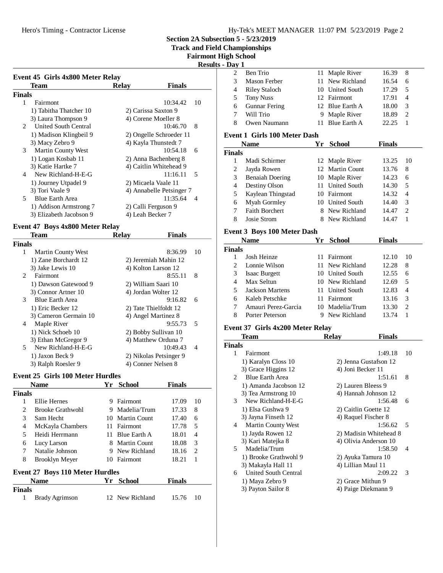Hero's Timing - Contractor License

**Section 2A Subsection 5 - 5/23/2019**

**Track and Field Championships**

**Fairmont High School**

**Results - Day 1**

| Team                                          | Relay | <b>Finals</b>              |
|-----------------------------------------------|-------|----------------------------|
| Finals                                        |       |                            |
| Fairmont<br>1                                 |       | 10:34.42<br>10             |
| 1) Tabitha Thatcher 10                        |       | 2) Carissa Saxton 9        |
| 3) Laura Thompson 9                           |       | 4) Corene Moeller 8        |
| <b>United South Central</b><br>$\mathfrak{D}$ |       | 10:46.70<br>8              |
| 1) Madison Klingbeil 9                        |       | 2) Ongelle Schroeder 11    |
| 3) Macy Zebro 9                               |       | 4) Kayla Thunstedt 7       |
| 3<br>Martin County West                       |       | 10:54.18<br>6              |
| 1) Logan Kosbab 11                            |       | 2) Anna Bachenberg 8       |
| 3) Katie Hartke 7                             |       | 4) Caitlin Whitehead 9     |
| New Richland-H-E-G<br>4                       |       | 11:16.11<br>.5             |
| 1) Journey Utpadel 9                          |       | 2) Micaela Vaale 11        |
| 3) Tori Vaale 9                               |       | 4) Annabelle Petsinger 7   |
| <b>Blue Earth Area</b><br>5                   |       | 11:35.64<br>$\overline{4}$ |
| 1) Addison Armstrong 7                        |       | 2) Calli Ferguson 9        |
| 3) Elizabeth Jacobson 9                       |       | 4) Leah Becker 7           |

# **Event 47 Boys 4x800 Meter Relay**

|        | Team                      | Relav | Finals                 |                |
|--------|---------------------------|-------|------------------------|----------------|
| Finals |                           |       |                        |                |
| 1      | <b>Martin County West</b> |       | 8:36.99                | 10             |
|        | 1) Zane Borchardt 12      |       | 2) Jeremiah Mahin 12   |                |
|        | 3) Jake Lewis 10          |       | 4) Kolton Larson 12    |                |
| 2      | Fairmont                  |       | 8:55.11                | 8              |
|        | 1) Dawson Gatewood 9      |       | 2) William Saari 10    |                |
|        | 3) Connor Artner 10       |       | 4) Jordan Wolter 12    |                |
| 3      | <b>Blue Earth Area</b>    |       | 9:16.82                | 6              |
|        | 1) Eric Becker 12         |       | 2) Tate Thielfoldt 12  |                |
|        | 3) Cameron Germain 10     |       | 4) Angel Martinez 8    |                |
| 4      | Maple River               |       | 9:55.73                | 5              |
|        | 1) Nick Schoeb 10         |       | 2) Bobby Sullivan 10   |                |
|        | 3) Ethan McGregor 9       |       | 4) Matthew Orduna 7    |                |
| 5.     | New Richland-H-E-G        |       | 10:49.43               | $\overline{4}$ |
|        | 1) Jaxon Beck 9           |       | 2) Nikolas Petsinger 9 |                |
|        | 3) Ralph Roesler 9        |       | 4) Conner Nelsen 8     |                |

#### **Event 25 Girls 100 Meter Hurdles**

|        | <b>Name</b>                            |     | Yr School           | <b>Finals</b> |    |
|--------|----------------------------------------|-----|---------------------|---------------|----|
| Finals |                                        |     |                     |               |    |
|        | <b>Ellie Hernes</b>                    | 9   | Fairmont            | 17.09         | 10 |
| 2      | <b>Brooke Grathwohl</b>                | 9   | Madelia/Trum        | 17.33         | 8  |
| 3      | Sam Hecht                              |     | 10 Martin Count     | 17.40         | 6  |
| 4      | McKayla Chambers                       | 11. | Fairmont            | 17.78         | 5  |
| 5      | Heidi Herrmann                         | 11. | Blue Earth A        | 18.01         | 4  |
| 6      | Lucy Larson                            |     | <b>Martin Count</b> | 18.08         | 3  |
| 7      | Natalie Johnson                        |     | 9 New Richland      | 18.16         | 2  |
| 8      | <b>Brooklyn Meyer</b>                  |     | 10 Fairmont         | 18.21         | 1  |
|        | <b>Event 27 Boys 110 Meter Hurdles</b> |     |                     |               |    |
|        | <b>Name</b>                            |     | Yr School           | <b>Finals</b> |    |
| Finals |                                        |     |                     |               |    |
|        | <b>Brady Agrimson</b>                  |     | 12 New Richland     | 15.76         | 10 |

| рау 1          |                                     |      |                        |               |                |
|----------------|-------------------------------------|------|------------------------|---------------|----------------|
| 2              | Ben Trio                            | 11 - | Maple River            | 16.39         | 8              |
| 3              | Mason Ferber                        | 11   | New Richland           | 16.54         | 6              |
| 4              | <b>Riley Staloch</b>                |      | 10 United South        | 17.29         | 5              |
| 5              | <b>Tony Nuss</b>                    |      | 12 Fairmont            | 17.91         | 4              |
| 6              | <b>Gunnar Fering</b>                |      | 12 Blue Earth A        | 18.00         | 3              |
| 7              | Will Trio                           | 9.   | Maple River            | 18.89         | 2              |
| 8              | Owen Naumann                        | 11   | <b>Blue Earth A</b>    | 22.25         | 1              |
|                |                                     |      |                        |               |                |
|                | <b>Event 1 Girls 100 Meter Dash</b> |      |                        |               |                |
|                | <b>Name</b>                         | Yr   | <b>School</b>          | <b>Finals</b> |                |
| <b>Finals</b>  |                                     |      |                        |               |                |
| 1              | Madi Schirmer                       |      | 12 Maple River         | 13.25         | 10             |
| 2              | Jayda Rowen                         |      | 12 Martin Count        | 13.76         | 8              |
| 3              | <b>Benaiah Doering</b>              |      | 10 Maple River         | 14.23         | 6              |
| $\overline{4}$ | Destiny Olson                       |      | 11 United South        | 14.30         | 5              |
| 5              | Kaylean Thingstad                   |      | 10 Fairmont            | 14.32         | 4              |
| 6              | Myah Gormley                        |      | 10 United South        | 14.40         | 3              |
| 7              | <b>Faith Borchert</b>               |      | 8 New Richland         | 14.47         | 2              |
| 8              | Josie Strom                         |      | 8 New Richland         | 14.47         | 1              |
|                | <b>Event 3 Boys 100 Meter Dash</b>  |      |                        |               |                |
|                | Name                                |      | Yr School              | <b>Finals</b> |                |
| <b>Finals</b>  |                                     |      |                        |               |                |
| 1              | Josh Heinze                         | 11   | Fairmont               | 12.10         | 10             |
| 2              | Lonnie Wilson                       |      | 11 New Richland        | 12.28         | 8              |
| 3              |                                     |      | 10 United South        | 12.55         | 6              |
| $\overline{4}$ | <b>Isaac Burgett</b><br>Max Seltun  |      |                        |               |                |
|                |                                     |      | 10 New Richland        | 12.69         | 5              |
| 5              | <b>Jackson Martens</b>              |      | 11 United South        | 12.83         | 4              |
| 6              | Kaleb Petschke                      |      | 11 Fairmont            | 13.16         | 3              |
| 7              | Amauri Perez-Garcia                 |      | 10 Madelia/Trum        | 13.30         | $\overline{2}$ |
| 8              | Porter Peterson                     |      | 9 New Richland         | 13.74         | 1              |
|                | Event 37 Girls 4x200 Meter Relay    |      |                        |               |                |
|                | Team                                |      | <b>Relay</b>           | <b>Finals</b> |                |
| <b>Finals</b>  |                                     |      |                        |               |                |
| 1              | Fairmont                            |      |                        | 1:49.18       | 10             |
|                | 1) Karalyn Closs 10                 |      | 2) Jenna Gustafson 12  |               |                |
|                | 3) Grace Higgins 12                 |      | 4) Joni Becker 11      |               |                |
| 2              | <b>Blue Earth Area</b>              |      |                        | 1:51.61       | 8              |
|                | 1) Amanda Jacobson 12               |      | 2) Lauren Bleess 9     |               |                |
|                | 3) Tea Armstrong 10                 |      | 4) Hannah Johnson 12   |               |                |
| 3              | New Richland-H-E-G                  |      |                        | 1:56.48       | 6              |
|                | 1) Elsa Gushwa 9                    |      | 2) Caitlin Goette 12   |               |                |
|                | 3) Jayna Finseth 12                 |      | 4) Raquel Fischer 8    |               |                |
| 4              | Martin County West                  |      |                        | 1:56.62       | 5              |
|                | 1) Jayda Rowen 12                   |      | 2) Madisin Whitehead 8 |               |                |
|                | 3) Kari Matejka 8                   |      | 4) Olivia Anderson 10  |               |                |
| 5              | Madelia/Trum                        |      |                        | 1:58.50       | 4              |
|                | 1) Brooke Grathwohl 9               |      | 2) Ayuka Tamura 10     |               |                |
|                | 3) Makayla Hall 11                  |      | 4) Lillian Maul 11     |               |                |
| 6              | United South Central                |      |                        | 2:09.22       | 3              |
|                | 1) Maya Zebro 9                     |      | 2) Grace Mithun 9      |               |                |
|                | 3) Payton Sailor 8                  |      | 4) Paige Diekmann 9    |               |                |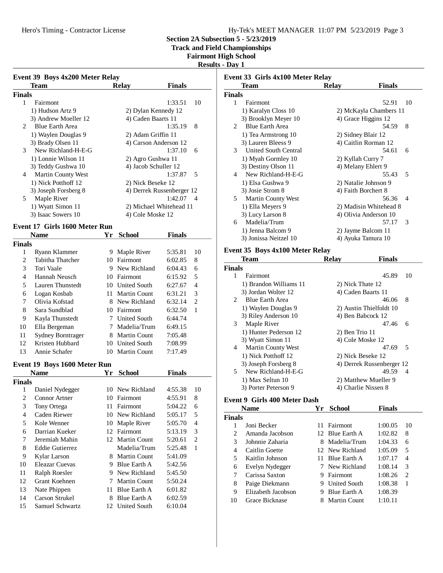**Track and Field Championships**

**Fairmont High School**

**Results - Day 1**

| Event 39 Boys 4x200 Meter Relay<br>Team | <b>Relay</b> | <b>Finals</b>             |
|-----------------------------------------|--------------|---------------------------|
| <b>Finals</b>                           |              |                           |
| 1<br>Fairmont                           |              | 1:33.51<br>10             |
| 1) Hudson Artz 9                        |              | 2) Dylan Kennedy 12       |
| 3) Andrew Moeller 12                    |              | 4) Caden Baarts 11        |
| <b>Blue Earth Area</b><br>2             |              | 8<br>1:35.19              |
| 1) Waylen Douglas 9                     |              | 2) Adam Griffin 11        |
| 3) Brady Olsen 11                       |              | 4) Carson Anderson 12     |
| New Richland-H-E-G<br>3                 |              | 1:37.10<br>6              |
| 1) Lonnie Wilson 11                     |              | 2) Agro Gushwa 11         |
| 3) Teddy Gushwa 10                      |              | 4) Jacob Schuller 12      |
| 4<br><b>Martin County West</b>          |              | 1:37.87<br>5              |
| 1) Nick Potthoff 12                     |              | 2) Nick Beseke 12         |
| 3) Joseph Forsberg 8                    |              | 4) Derrek Russenberger 12 |
| 5<br>Maple River                        |              | 1:42.07<br>$\overline{4}$ |
| 1) Wyatt Simon 11                       |              | 2) Michael Whitehead 11   |
| 3) Isaac Sowers 10                      |              | 4) Cole Moske 12          |

#### **Event 17 Girls 1600 Meter Run**

|                | <b>Name</b>                                                                          | Yr. | <b>School</b>       | <b>Finals</b> |               |
|----------------|--------------------------------------------------------------------------------------|-----|---------------------|---------------|---------------|
| <b>Finals</b>  |                                                                                      |     |                     |               |               |
| 1              | Ryann Klammer                                                                        | 9   | Maple River         | 5:35.81       | 10            |
| 2              | Tabitha Thatcher                                                                     |     | 10 Fairmont         | 6:02.85       | 8             |
| 3              | Tori Vaale                                                                           |     | 9 New Richland      | 6:04.43       | 6             |
| 4              | Hannah Neusch                                                                        | 10  | Fairmont            | 6:15.92       | 5             |
| 5              | Lauren Thunstedt                                                                     |     | 10 United South     | 6:27.67       | 4             |
| 6              | Logan Kosbab                                                                         | 11. | Martin Count        | 6:31.21       | 3             |
| 7              | Olivia Kofstad                                                                       | 8   | New Richland        | 6:32.14       | $\mathcal{L}$ |
| 8              | Sara Sundblad                                                                        |     | 10 Fairmont         | 6:32.50       | 1             |
| 9              | Kayla Thunstedt                                                                      | 7   | United South        | 6:44.74       |               |
| 10             | Ella Bergeman                                                                        | 7   | Madelia/Trum        | 6:49.15       |               |
| 11             | <b>Sydney Borntrager</b>                                                             | 8   | Martin Count        | 7:05.48       |               |
| 12             | Kristen Hubbard                                                                      | 10. | <b>United South</b> | 7:08.99       |               |
| 13             | Annie Schafer                                                                        | 10  | Martin Count        | 7:17.49       |               |
| $\blacksquare$ | $\sqrt{40}$<br>$\lambda$ $\lambda$ $\lambda$ $\lambda$ $\lambda$ $\lambda$ $\lambda$ | r   |                     |               |               |

### **Event 19 Boys 1600 Meter Run**

| <b>Name</b>     | Үr | School          | Finals                                                                                                                      |                |
|-----------------|----|-----------------|-----------------------------------------------------------------------------------------------------------------------------|----------------|
| <b>Finals</b>   |    |                 |                                                                                                                             |                |
| Daniel Nydegger |    |                 | 4:55.38                                                                                                                     | 10             |
| Connor Artner   | 10 | <b>Fairmont</b> | 4:55.91                                                                                                                     | 8              |
| Tony Ortega     | 11 | Fairmont        | 5:04.22                                                                                                                     | 6              |
| Caden Riewer    |    |                 | 5:05.17                                                                                                                     | 5              |
| Kole Wenner     | 10 | Maple River     | 5:05.70                                                                                                                     | 4              |
| Darrian Kueker  |    |                 | 5:13.19                                                                                                                     | 3              |
| Jeremiah Mahin  |    |                 | 5:20.61                                                                                                                     | $\mathfrak{D}$ |
| Eddie Gutierrez |    | Madelia/Trum    | 5:25.48                                                                                                                     | 1              |
| Kylar Larson    |    |                 | 5:41.09                                                                                                                     |                |
| Eleazar Cuevas  | 9  | Blue Earth A    | 5:42.56                                                                                                                     |                |
| Ralph Roesler   |    |                 | 5:45.50                                                                                                                     |                |
| Grant Koehnen   | 7  | Martin Count    | 5:50.24                                                                                                                     |                |
| Nate Phippen    | 11 | Blue Earth A    | 6:01.82                                                                                                                     |                |
| Carson Strukel  | 8  | Blue Earth A    | 6:02.59                                                                                                                     |                |
| Samuel Schwartz |    |                 | 6:10.04                                                                                                                     |                |
|                 |    |                 | 10 New Richland<br>10 New Richland<br>12 Fairmont<br>12 Martin Count<br>8 Martin Count<br>9 New Richland<br>12 United South |                |

|                             | Event 33 Girls 4x100 Meter Relay |                     |                         |
|-----------------------------|----------------------------------|---------------------|-------------------------|
|                             | <b>Team</b>                      | Relay               | <b>Finals</b>           |
| Finals                      |                                  |                     |                         |
| 1                           | Fairmont                         |                     | 52.91<br>10             |
|                             | 1) Karalyn Closs 10              |                     | 2) McKayla Chambers 11  |
|                             | 3) Brooklyn Meyer 10             |                     | 4) Grace Higgins 12     |
| $\mathcal{D}_{\mathcal{L}}$ | <b>Blue Earth Area</b>           |                     | 54.59<br>8              |
|                             | 1) Tea Armstrong 10              | 2) Sidney Blair 12  |                         |
|                             | 3) Lauren Bleess 9               |                     | 4) Caitlin Rorman 12    |
| 3                           | United South Central             |                     | 54.61<br>6              |
|                             | 1) Myah Gormley 10               | 2) Kyllah Curry 7   |                         |
|                             | 3) Destiny Olson 11              | 4) Melany Ehlert 9  |                         |
| 4                           | New Richland-H-E-G               |                     | 55.43<br>.5             |
|                             | 1) Elsa Gushwa 9                 |                     | 2) Natalie Johnson 9    |
|                             | 3) Josie Strom 8                 | 4) Faith Borchert 8 |                         |
| 5                           | <b>Martin County West</b>        |                     | 56.36<br>$\overline{4}$ |
|                             | 1) Ella Meyers 9                 |                     | 2) Madisin Whitehead 8  |
|                             | 3) Lucy Larson 8                 |                     | 4) Olivia Anderson 10   |
| 6                           | Madelia/Trum                     |                     | 3<br>57.17              |
|                             | 1) Jenna Balcom 9                |                     | 2) Jayme Balcom 11      |
|                             | 3) Jonissa Neitzel 10            |                     | 4) Ayuka Tamura 10      |

#### **Event 35 Boys 4x100 Meter Relay**

|               | Team                                  | <b>Relav</b>     | Finals                            |
|---------------|---------------------------------------|------------------|-----------------------------------|
| <b>Finals</b> |                                       |                  |                                   |
| 1             | Fairmont                              |                  | 45.89<br>10                       |
|               | 1) Brandon Williams 11                | 2) Nick Thate 12 |                                   |
|               | 3) Jordan Wolter 12                   |                  | 4) Caden Baarts 11                |
|               | $2^{\circ}$<br><b>Blue Earth Area</b> |                  | 8<br>46.06                        |
|               | 1) Waylen Douglas 9                   |                  | 2) Austin Thielfoldt 10           |
|               | 3) Riley Anderson 10                  |                  | 4) Ben Babcock 12                 |
| 3             | Maple River                           |                  | 47.46<br>6                        |
|               | 1) Hunter Pederson 12                 | 2) Ben Trio 11   |                                   |
|               | 3) Wyatt Simon 11                     |                  | 4) Cole Moske 12                  |
|               | Martin County West<br>4               |                  | 5<br>47.69                        |
|               | 1) Nick Potthoff 12                   |                  | 2) Nick Beseke 12                 |
|               | 3) Joseph Forsberg 8                  |                  | 4) Derrek Russenberger 12         |
| 5.            | New Richland-H-E-G                    |                  | 49.59<br>$\overline{\mathcal{A}}$ |
|               | 1) Max Seltun 10                      |                  | 2) Matthew Mueller 9              |
|               | 3) Porter Peterson 9                  |                  | 4) Charlie Nissen 8               |
|               |                                       |                  |                                   |

#### **Event 9 Girls 400 Meter Dash**

|                             | <b>Name</b>        | Үr | <b>School</b>       | <b>Finals</b> |    |
|-----------------------------|--------------------|----|---------------------|---------------|----|
| <b>Finals</b>               |                    |    |                     |               |    |
|                             | Joni Becker        | 11 | Fairmont            | 1:00.05       | 10 |
| $\mathcal{D}_{\mathcal{L}}$ | Amanda Jacobson    |    | 12 Blue Earth A     | 1:02.82       | 8  |
| 3                           | Johnnie Zaharia    | 8  | Madelia/Trum        | 1:04.33       | 6  |
| 4                           | Caitlin Goette     |    | 12 New Richland     | 1:05.09       | 5  |
| 5                           | Kaitlin Johnson    |    | 11 Blue Earth A     | 1:07.17       | 4  |
| 6                           | Evelyn Nydegger    |    | 7 New Richland      | 1:08.14       | 3  |
| 7                           | Carissa Saxton     | 9  | Fairmont            | 1:08.26       | 2  |
| 8                           | Paige Diekmann     | 9  | <b>United South</b> | 1:08.38       |    |
| 9                           | Elizabeth Jacobson |    | Blue Earth A        | 1:08.39       |    |
| 10                          | Grace Bicknase     |    | Martin Count        | 1:10.11       |    |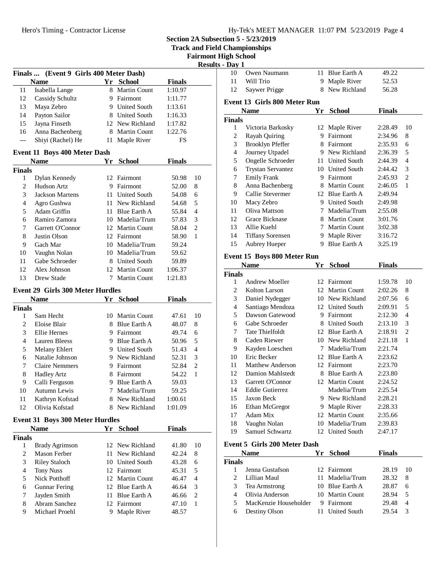| Hy-Tek's MEET MANAGER 11:07 PM 5/23/2019 Page 4 |  |  |
|-------------------------------------------------|--|--|
|                                                 |  |  |

**Section 2A Subsection 5 - 5/23/2019**

**Track and Field Championships**

**Fairmont High School**

| Results - | DAV |  |
|-----------|-----|--|
|           |     |  |

| Finals  (Event 9 Girls 400 Meter Dash) |                                     |    |                     |               |                |
|----------------------------------------|-------------------------------------|----|---------------------|---------------|----------------|
|                                        | <b>Name</b>                         |    | Yr School           | <b>Finals</b> |                |
| 11                                     | Isabella Lange                      |    | 8 Martin Count      | 1:10.97       |                |
| 12                                     | Cassidy Schultz                     |    | 9 Fairmont          | 1:11.77       |                |
| 13                                     | Maya Zebro                          |    | 9 United South      | 1:13.61       |                |
| 14                                     | Payton Sailor                       |    | 8 United South      | 1:16.33       |                |
| 15                                     | Jayna Finseth                       |    | 12 New Richland     | 1:17.82       |                |
| 16                                     | Anna Bachenberg                     |    | 8 Martin Count      | 1:22.76       |                |
|                                        | Shiyi (Rachel) He                   | 11 | Maple River         | FS            |                |
|                                        | <b>Event 11 Boys 400 Meter Dash</b> |    |                     |               |                |
|                                        | <b>Name</b>                         | Yr | School              | Finals        |                |
| Finals                                 |                                     |    |                     |               |                |
| 1                                      | Dylan Kennedy                       |    | 12 Fairmont         | 50.98         | 10             |
| $\overline{c}$                         | Hudson Artz                         | 9  | Fairmont            | 52.00         | 8              |
| 3                                      | <b>Jackson Martens</b>              |    | 11 United South     | 54.08         | 6              |
| $\overline{4}$                         | Agro Gushwa                         |    | 11 New Richland     | 54.68         | 5              |
| 5                                      | Adam Griffin                        |    | 11 Blue Earth A     | 55.84         | $\overline{4}$ |
| 6                                      | Ramiro Zamora                       |    | 10 Madelia/Trum     | 57.83         | 3              |
| 7                                      | Garrett O'Connor                    |    | 12 Martin Count     | 58.04         | $\overline{2}$ |
| 8                                      | Justin Olson                        |    | 12 Fairmont         | 58.90         | $\mathbf{1}$   |
| 9                                      | Gach Mar                            |    | 10 Madelia/Trum     | 59.24         |                |
| 10                                     | Vaughn Nolan                        |    | 10 Madelia/Trum     | 59.62         |                |
| 11                                     | Gabe Schroeder                      |    | 8 United South      | 59.89         |                |
| 12                                     | Alex Johnson                        |    | 12 Martin Count     | 1:06.37       |                |
| 13                                     | Drew Stade                          | 7  | <b>Martin Count</b> | 1:21.83       |                |
|                                        |                                     |    |                     |               |                |

#### **Event 29 Girls 300 Meter Hurdles**

|               | <b>Name</b>         | Yr | <b>School</b>       | <b>Finals</b> |    |
|---------------|---------------------|----|---------------------|---------------|----|
| <b>Finals</b> |                     |    |                     |               |    |
|               | Sam Hecht           |    | 10 Martin Count     | 47.61         | 10 |
| 2             | Eloise Blair        | 8. | Blue Earth A        | 48.07         | 8  |
| 3             | <b>Ellie Hernes</b> | 9  | Fairmont            | 49.74         | 6  |
| 4             | Lauren Bleess       | 9  | Blue Earth A        | 50.96         | 5  |
| 5             | Melany Ehlert       | 9. | <b>United South</b> | 51.43         | 4  |
| 6             | Natalie Johnson     |    | 9 New Richland      | 52.31         | 3  |
| 7             | Claire Nemmers      | 9  | Fairmont            | 52.84         | 2  |
| 8             | <b>Hadley Artz</b>  | 8  | Fairmont            | 54.22         | 1  |
| 9             | Calli Ferguson      | 9  | Blue Earth A        | 59.03         |    |
| 10            | Autumn Lewis        |    | Madelia/Trum        | 59.25         |    |
| 11            | Kathryn Kofstad     |    | 8 New Richland      | 1:00.61       |    |
| 12            | Olivia Kofstad      | 8. | New Richland        | 1:01.09       |    |

#### **Event 31 Boys 300 Meter Hurdles**

|               | <b>Name</b>           | Yr | School          | <b>Finals</b> |                             |
|---------------|-----------------------|----|-----------------|---------------|-----------------------------|
| <b>Finals</b> |                       |    |                 |               |                             |
| 1             | <b>Brady Agrimson</b> |    | 12 New Richland | 41.80         | 10                          |
| 2             | Mason Ferber          |    | 11 New Richland | 42.24         | 8                           |
| 3             | <b>Riley Staloch</b>  |    | 10 United South | 43.28         | 6                           |
| 4             | <b>Tony Nuss</b>      |    | 12 Fairmont     | 45.31         | 5                           |
| 5             | Nick Potthoff         |    | 12 Martin Count | 46.47         | 4                           |
| 6             | <b>Gunnar Fering</b>  |    | 12 Blue Earth A | 46.64         | 3                           |
| 7             | Jayden Smith          |    | 11 Blue Earth A | 46.66         | $\mathcal{D}_{\mathcal{L}}$ |
| 8             | Abram Sanchez         |    | 12 Fairmont     | 47.10         |                             |
| 9             | Michael Proehl        |    | Maple River     | 48.57         |                             |

| - Day 1            |                                          |      |                              |               |                |
|--------------------|------------------------------------------|------|------------------------------|---------------|----------------|
| 10                 | Owen Naumann                             | 11 - | Blue Earth A                 | 49.22         |                |
| 11                 | Will Trio                                | 9.   | Maple River                  | 52.53         |                |
| 12                 | Saywer Prigge                            |      | 8 New Richland               | 56.28         |                |
|                    | Event 13 Girls 800 Meter Run             |      |                              |               |                |
|                    | <b>Name</b>                              | Yr   | <b>School</b>                | <b>Finals</b> |                |
|                    |                                          |      |                              |               |                |
| <b>Finals</b><br>1 |                                          |      |                              | 2:28.49       | 10             |
| 2                  | Victoria Barkosky                        |      | 12 Maple River<br>9 Fairmont | 2:34.96       | 8              |
| 3                  | Rayah Quiring<br><b>Brooklyn Pfeffer</b> |      | 8 Fairmont                   | 2:35.93       | 6              |
| 4                  | Journey Utpadel                          |      | 9 New Richland               | 2:36.39       | 5              |
| 5                  | Ongelle Schroeder                        |      | 11 United South              | 2:44.39       | 4              |
| 6                  | <b>Trystan Servantez</b>                 |      | 10 United South              | 2:44.42       | 3              |
| 7                  | <b>Emily Frank</b>                       |      | 9 Fairmont                   | 2:45.93       | $\overline{2}$ |
| 8                  | Anna Bachenberg                          |      | 8 Martin Count               | 2:46.05       | 1              |
| 9                  | Callie Stevermer                         |      | 12 Blue Earth A              |               |                |
|                    |                                          |      |                              | 2:49.94       |                |
| 10                 | Macy Zebro                               |      | 9 United South               | 2:49.98       |                |
| 11                 | Oliva Mattson                            |      | 7 Madelia/Trum               | 2:55.08       |                |
| 12                 | Grace Bicknase                           |      | 8 Martin Count               | 3:01.76       |                |
| 13                 | Allie Kuehl                              |      | 7 Martin Count               | 3:02.38       |                |
| 14                 | <b>Tiffany Sorensen</b>                  |      | 9 Maple River                | 3:16.72       |                |
| 15                 | Aubrey Hueper                            |      | 9 Blue Earth A               | 3:25.19       |                |
|                    | Event 15 Boys 800 Meter Run              |      |                              |               |                |
|                    | <b>Name</b>                              | Yr   | <b>School</b>                | <b>Finals</b> |                |
| <b>Finals</b>      |                                          |      |                              |               |                |
| 1                  | Andrew Moeller                           |      | 12 Fairmont                  | 1:59.78       | 10             |
| 2                  | Kolton Larson                            |      | 12 Martin Count              | 2:02.26       | 8              |
| 3                  | Daniel Nydegger                          |      | 10 New Richland              | 2:07.56       | 6              |
| $\overline{4}$     | Santiago Mendoza                         |      | 12 United South              | 2:09.91       | 5              |
| 5                  | Dawson Gatewood                          |      | 9 Fairmont                   | 2:12.30       | 4              |
| 6                  | Gabe Schroeder                           |      | 8 United South               | 2:13.10       | 3              |
| 7                  | Tate Thielfoldt                          |      | 12 Blue Earth A              | 2:18.91       | $\overline{c}$ |
| 8                  | Caden Riewer                             |      | 10 New Richland              | 2:21.18       | 1              |
| 9                  | Kayden Loeschen                          |      | 7 Madelia/Trum               | 2:21.74       |                |
| 10                 | Eric Becker                              |      | 12 Blue Earth A              | 2:23.62       |                |
| 11                 | <b>Matthew Anderson</b>                  |      | 12 Fairmont                  | 2:23.70       |                |
| 12                 | <b>Damion Mahlstedt</b>                  |      | 8 Blue Earth A               | 2:23.80       |                |
| 13                 | Garrett O'Connor                         |      | 12 Martin Count              | 2:24.52       |                |
| 14                 | <b>Eddie Gutierrez</b>                   |      | Madelia/Trum                 | 2:25.54       |                |
| 15                 | Jaxon Beck                               |      | 9 New Richland               | 2:28.21       |                |
| 16                 | Ethan McGregor                           |      | 9 Maple River                | 2:28.33       |                |
| 17                 | Adam Mix                                 |      | 12 Martin Count              | 2:35.66       |                |
| 18                 | Vaughn Nolan                             |      | 10 Madelia/Trum              | 2:39.83       |                |
| 19                 | Samuel Schwartz                          |      | 12 United South              | 2:47.17       |                |
|                    |                                          |      |                              |               |                |
|                    | <b>Event 5 Girls 200 Meter Dash</b>      |      |                              |               |                |
|                    | <b>Name</b>                              | Yr   | <b>School</b>                | <b>Finals</b> |                |
| <b>Finals</b>      |                                          |      |                              |               |                |
| $\mathbf{1}$       | Jenna Gustafson                          |      | 12 Fairmont                  | 28.19         | 10             |
| $\overline{c}$     | Lillian Maul                             |      | 11 Madelia/Trum              | 28.32         | 8              |
| 3                  | Tea Armstrong                            |      | 10 Blue Earth A              | 28.87         | 6              |
| 4                  | Olivia Anderson                          |      | 10 Martin Count              | 28.94         | 5              |

5 MacKenzie Householder 9 Fairmont 29.48 4<br>6 Destiny Olson 11 United South 29.54 3

6 Destiny Olson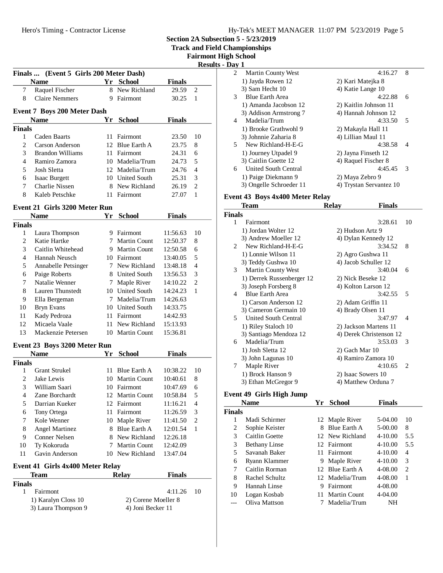|                |                                        |   |                 |               | <b>Fairmont</b> l |
|----------------|----------------------------------------|---|-----------------|---------------|-------------------|
|                |                                        |   |                 |               | <b>Results</b>    |
|                | Finals  (Event 5 Girls 200 Meter Dash) |   |                 |               |                   |
|                | <b>Name</b>                            |   | Yr School       | <b>Finals</b> |                   |
| 7              | Raquel Fischer                         |   | 8 New Richland  | 29.59         | $\overline{2}$    |
| 8              | <b>Claire Nemmers</b>                  |   | 9 Fairmont      | 30.25         | 1                 |
|                | <b>Event 7 Boys 200 Meter Dash</b>     |   |                 |               |                   |
|                | <b>Name</b>                            |   | Yr School       | <b>Finals</b> |                   |
| Finals         |                                        |   |                 |               |                   |
| 1              | Caden Baarts                           |   | 11 Fairmont     | 23.50         | 10                |
| $\overline{2}$ | <b>Carson Anderson</b>                 |   | 12 Blue Earth A | 23.75         | 8                 |
| 3              | Brandon Williams                       |   | 11 Fairmont     | 24.31         | 6                 |
| $\overline{4}$ | Ramiro Zamora                          |   | 10 Madelia/Trum | 24.73         | 5                 |
| 5              | Josh Sletta                            |   | 12 Madelia/Trum | 24.76         | 4                 |
| 6              | <b>Isaac Burgett</b>                   |   | 10 United South | 25.31         | 3                 |
| $\overline{7}$ | Charlie Nissen                         |   | 8 New Richland  | 26.19         | $\mathfrak{2}$    |
| 8              | Kaleb Petschke                         |   |                 |               |                   |
|                |                                        |   | 11 Fairmont     | 27.07         | 1                 |
|                | Event 21 Girls 3200 Meter Run          |   |                 |               |                   |
|                | <b>Name</b>                            |   | Yr School       | <b>Finals</b> |                   |
| Finals         |                                        |   |                 |               |                   |
| $\mathbf{1}$   | Laura Thompson                         |   | 9 Fairmont      | 11:56.63      | 10                |
| $\overline{2}$ | Katie Hartke                           |   | 7 Martin Count  | 12:50.37      | 8                 |
| 3              | Caitlin Whitehead                      |   | 9 Martin Count  | 12:50.58      | 6                 |
| 4              | Hannah Neusch                          |   | 10 Fairmont     | 13:40.05      | 5                 |
| 5              | Annabelle Petsinger                    |   | 7 New Richland  | 13:48.18      | 4                 |
| 6              | Paige Roberts                          |   | 8 United South  | 13:56.53      | 3                 |
| 7              | Natalie Wenner                         |   | 7 Maple River   | 14:10.22      | $\overline{2}$    |
| 8              | Lauren Thunstedt                       |   | 10 United South | 14:24.23      | 1                 |
| 9              | Ella Bergeman                          |   | 7 Madelia/Trum  | 14:26.63      |                   |
| 10             | <b>Bryn Evans</b>                      |   | 10 United South | 14:33.75      |                   |
| 11             | Kady Pedroza                           |   | 11 Fairmont     | 14:42.93      |                   |
| 12             | Micaela Vaale                          |   | 11 New Richland | 15:13.93      |                   |
| 13             | Mackenzie Petersen                     |   | 10 Martin Count | 15:36.81      |                   |
|                |                                        |   |                 |               |                   |
|                | Event 23 Boys 3200 Meter Run           |   |                 |               |                   |
|                | <b>Name</b>                            |   | Yr School       | <b>Finals</b> |                   |
| Finals         |                                        |   |                 |               |                   |
| 1              | <b>Grant Strukel</b>                   |   | 11 Blue Earth A | 10:38.22      | 10                |
| 2              | Jake Lewis                             |   | 10 Martin Count | 10:40.61      | 8                 |
| 3              | William Saari                          |   | 10 Fairmont     | 10:47.69      | 6                 |
| $\overline{4}$ | Zane Borchardt                         |   | 12 Martin Count | 10:58.84      | 5                 |
| 5              | Darrian Kueker                         |   | 12 Fairmont     | 11:16.21      | $\overline{4}$    |
| 6              | Tony Ortega                            |   | 11 Fairmont     | 11:26.59      | 3                 |
| 7              | Kole Wenner                            |   | 10 Maple River  | 11:41.50      | $\overline{c}$    |
| 8              | <b>Angel Martinez</b>                  |   | 8 Blue Earth A  | 12:01.54      | 1                 |
| 9              | Conner Nelsen                          |   | 8 New Richland  | 12:26.18      |                   |
| 10             | Ty Kokoruda                            | 7 | Martin Count    | 12:42.09      |                   |
| 11             | Gavin Anderson                         |   | 10 New Richland | 13:47.04      |                   |
|                |                                        |   |                 |               |                   |
|                | Event 41 Girls 4x400 Meter Relay       |   |                 |               |                   |
|                | Team                                   |   | <b>Relay</b>    | <b>Finals</b> |                   |
| Finals         | Fairmont                               |   |                 |               | 10                |
| 1              |                                        |   |                 | 4:11.26       |                   |

| <b>Fairmont</b>     | 4:11.26             | -10 |
|---------------------|---------------------|-----|
| 1) Karalyn Closs 10 | 2) Corene Moeller 8 |     |
| 3) Laura Thompson 9 | 4) Joni Becker 11   |     |

Hero's Timing - Contractor License Hy-Tek's MEET MANAGER 11:07 PM 5/23/2019 Page 5

**Section 2A Subsection 5 - 5/23/2019**

**Track and Field Championships**

**High School** 

**Results - Day 1** 

| 2  | <b>Martin County West</b>       | 4:16.27                 | 8              |
|----|---------------------------------|-------------------------|----------------|
|    | 1) Jayda Rowen 12               | 2) Kari Matejka 8       |                |
|    | 3) Sam Hecht 10                 | 4) Katie Lange 10       |                |
| 3  | <b>Blue Earth Area</b>          | 4:22.88                 | 6              |
|    | 1) Amanda Jacobson 12           | 2) Kaitlin Johnson 11   |                |
|    | 3) Addison Armstrong 7          | 4) Hannah Johnson 12    |                |
| 4  | Madelia/Trum                    | 4:33.50                 | - 5            |
|    | 1) Brooke Grathwohl 9           | 2) Makayla Hall 11      |                |
|    | 3) Johnnie Zaharia 8            | 4) Lillian Maul 11      |                |
| 5. | New Richland-H-E-G              | 4:38.58                 | $\overline{4}$ |
|    | 1) Journey Utpadel 9            | 2) Jayna Finseth 12     |                |
|    | 3) Caitlin Goette 12            | 4) Raquel Fischer 8     |                |
| 6  | United South Central            | 4:45.45                 | -3             |
|    | 1) Paige Diekmann 9             | 2) Maya Zebro 9         |                |
|    | 3) Ongelle Schroeder 11         | 4) Trystan Servantez 10 |                |
|    | vent 43  Roys 4x400 Meter Relay |                         |                |

## **Event 43 Boys 4x400 Meter Relay**

| 3:28.61<br>10                            |
|------------------------------------------|
|                                          |
| 4) Dylan Kennedy 12                      |
| 3:34.52<br>8                             |
|                                          |
| 4) Jacob Schuller 12                     |
| 3:40.04<br>6                             |
|                                          |
| 4) Kolton Larson 12                      |
| 3:42.55<br>5                             |
|                                          |
|                                          |
| 3:47.97<br>$\overline{\mathcal{A}}$      |
| 2) Jackson Martens 11                    |
| 4) Derek Christenson 12                  |
| 3:53.03<br>$\mathcal{R}$                 |
|                                          |
| 4) Ramiro Zamora 10                      |
| 4:10.65<br>$\mathfrak{D}_{\mathfrak{p}}$ |
|                                          |
| 4) Matthew Orduna 7                      |
|                                          |

### **Event 49 Girls High Jump**

|               | <b>Name</b>          | Yr  | <b>School</b>   | <b>Finals</b> |     |
|---------------|----------------------|-----|-----------------|---------------|-----|
| <b>Finals</b> |                      |     |                 |               |     |
| 1             | Madi Schirmer        |     | 12 Maple River  | 5-04.00       | 10  |
| 2             | Sophie Keister       | 8   | Blue Earth A    | 5-00.00       | 8   |
| 3             | Caitlin Goette       |     | 12 New Richland | $4 - 10.00$   | 5.5 |
| 3             | <b>Bethany Linse</b> |     | 12 Fairmont     | $4 - 10.00$   | 5.5 |
| 5             | Savanah Baker        |     | 11 Fairmont     | $4 - 10.00$   | 4   |
| 6             | Ryann Klammer        | 9.  | Maple River     | $4 - 10.00$   | 3   |
| 7             | Caitlin Rorman       |     | 12 Blue Earth A | 4-08.00       | 2   |
| 8             | Rachel Schultz       |     | 12 Madelia/Trum | 4-08.00       | 1   |
| 9             | Hannah Linse         | 9   | Fairmont        | 4-08.00       |     |
| 10            | Logan Kosbab         | 11. | Martin Count    | 4-04.00       |     |
|               | Oliva Mattson        |     | Madelia/Trum    | NΗ            |     |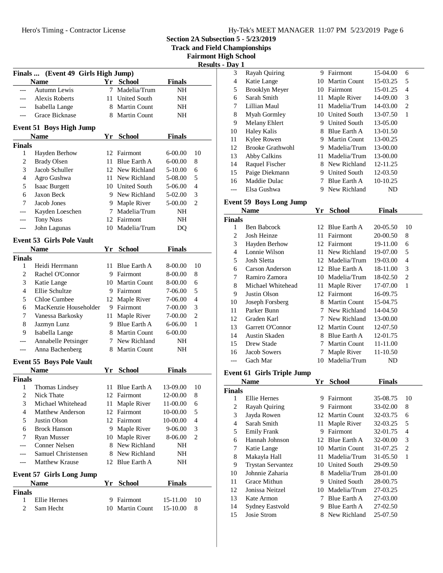Hero's Timing - Contractor License

|                |                                    |                 |               |                             |                        | <b>Section 2A Subsection 5 - 5/23/2019</b><br><b>Track and Field Championships</b> |
|----------------|------------------------------------|-----------------|---------------|-----------------------------|------------------------|------------------------------------------------------------------------------------|
|                |                                    |                 |               | <b>Fairmont High School</b> |                        |                                                                                    |
|                |                                    |                 |               |                             | <b>Results - Day 1</b> |                                                                                    |
|                | Finals  (Event 49 Girls High Jump) |                 |               |                             | 3                      | Rayah Quiri                                                                        |
|                | <b>Name</b>                        | Yr School       | <b>Finals</b> |                             | 4                      | Katie Lange                                                                        |
|                | Autumn Lewis                       | 7 Madelia/Trum  | NH            |                             | 5                      | Brooklyn M                                                                         |
| $---$          | Alexis Roberts                     | 11 United South | NH            |                             | 6<br>7                 | Sarah Smith                                                                        |
| $---$          | Isabella Lange                     | 8 Martin Count  | NH            |                             | 8                      | Lillian Mau<br>Myah Gorm                                                           |
| $---$          | Grace Bicknase                     | 8 Martin Count  | NH            |                             | 9                      | Melany Ehle                                                                        |
|                | <b>Event 51 Boys High Jump</b>     |                 |               |                             | 10                     | <b>Haley Kalis</b>                                                                 |
|                | <b>Name</b>                        | Yr School       | <b>Finals</b> |                             | 11                     | Kylee Rowe                                                                         |
| <b>Finals</b>  |                                    |                 |               |                             | 12                     | <b>Brooke Grat</b>                                                                 |
| 1              | Hayden Berhow                      | 12 Fairmont     | $6 - 00.00$   | 10                          | 13                     | Abby Calkir                                                                        |
| 2              | <b>Brady Olsen</b>                 | 11 Blue Earth A | $6 - 00.00$   | 8                           | 14                     | Raquel Fisc                                                                        |
| 3              | Jacob Schuller                     | 12 New Richland | 5-10.00       | 6                           | 15                     | Paige Diekn                                                                        |
| $\overline{4}$ | Agro Gushwa                        | 11 New Richland | 5-08.00       | 5                           | 16                     | Maddie Dul                                                                         |
| 5              | <b>Isaac Burgett</b>               | 10 United South | 5-06.00       | 4                           | $---$                  | Elsa Gushw                                                                         |
| 6              | Jaxon Beck                         | 9 New Richland  | 5-02.00       | 3                           |                        |                                                                                    |
| 7              | Jacob Jones                        | 9 Maple River   | 5-00.00       | $\mathbf{2}$                |                        | Event 59 Boys Lo                                                                   |
| $---$          | Kayden Loeschen                    | 7 Madelia/Trum  | NH            |                             |                        | <b>Name</b>                                                                        |
| ---            | <b>Tony Nuss</b>                   | 12 Fairmont     | NH            |                             | <b>Finals</b>          |                                                                                    |
| $---$          | John Lagunas                       | 10 Madelia/Trum | DQ            |                             | $\mathbf{1}$           | Ben Babcoc                                                                         |
|                | <b>Event 53 Girls Pole Vault</b>   |                 |               |                             | $\overline{2}$         | Josh Heinze                                                                        |
|                | <b>Name</b>                        | Yr School       | <b>Finals</b> |                             | 3                      | Hayden Ber                                                                         |
| <b>Finals</b>  |                                    |                 |               |                             | $\overline{4}$         | Lonnie Wils                                                                        |
| 1              | Heidi Herrmann                     | 11 Blue Earth A | 8-00.00       | 10                          | 5<br>6                 | Josh Sletta                                                                        |
| 2              | Rachel O'Connor                    | 9 Fairmont      | 8-00.00       | 8                           | 7                      | Carson Ande                                                                        |
| 3              | Katie Lange                        | 10 Martin Count | 8-00.00       | 6                           | 8                      | Ramiro Zan<br>Michael Wh                                                           |
| $\overline{4}$ | Ellie Schultze                     | 9 Fairmont      | 7-06.00       | 5                           | 9                      | Justin Olson                                                                       |
| 5              | Chloe Cumbee                       | 12 Maple River  | 7-06.00       | 4                           | 10                     | Joseph Forsl                                                                       |
| 6              | MacKenzie Householder              | 9 Fairmont      | 7-00.00       | 3                           | 11                     | Parker Bunr                                                                        |
| $\tau$         | Vanessa Barkosky                   | 11 Maple River  | 7-00.00       | $\overline{c}$              | 12                     | Graden Karl                                                                        |
| $\,8\,$        | Jazmyn Lunz                        | 9 Blue Earth A  | 6-06.00       | $\mathbf{1}$                | 13                     | Garrett O'Co                                                                       |
| 9              | Isabella Lange                     | 8 Martin Count  | $6 - 00.00$   |                             | 14                     | <b>Austin Skad</b>                                                                 |
| $---$          | Annabelle Petsinger                | 7 New Richland  | NH            |                             | 15                     | Drew Stade                                                                         |
| $---$          | Anna Bachenberg                    | 8 Martin Count  | NΗ            |                             | 16                     | Jacob Sower                                                                        |
|                | <b>Event 55 Boys Pole Vault</b>    |                 |               |                             | ---                    | Gach Mar                                                                           |
|                | Name                               | Yr School       | <b>Finals</b> |                             |                        |                                                                                    |
| <b>Finals</b>  |                                    |                 |               |                             |                        | Event 61 Girls T                                                                   |
| 1              | Thomas Lindsey                     | 11 Blue Earth A | 13-09.00      | 10                          |                        | <b>Name</b>                                                                        |
| $\overline{c}$ | Nick Thate                         | 12 Fairmont     | 12-00.00      | 8                           | <b>Finals</b>          |                                                                                    |
| 3              | Michael Whitehead                  | 11 Maple River  | 11-00.00      | 6                           | $\mathbf{1}$           | Ellie Hernes                                                                       |
| $\overline{4}$ | <b>Matthew Anderson</b>            | 12 Fairmont     | 10-00.00      | 5                           | $\mathbf{2}$           | Rayah Quiri                                                                        |
| 5              | Justin Olson                       | 12 Fairmont     | 10-00.00      | $\overline{4}$              | 3                      | Jayda Rowe                                                                         |
| 6              | <b>Brock Hanson</b>                | 9 Maple River   | 9-06.00       | 3                           | $\overline{4}$         | Sarah Smith                                                                        |
| 7              | Ryan Musser                        | 10 Maple River  | 8-06.00       | $\overline{2}$              | 5                      | <b>Emily Frank</b>                                                                 |
| $---$          | Conner Nelsen                      | 8 New Richland  | NH            |                             | 6                      | Hannah Joh                                                                         |
| ---            | Samuel Christensen                 | 8 New Richland  | NH            |                             | 7                      | Katie Lange                                                                        |
| ---            | Matthew Krause                     | 12 Blue Earth A | NH            |                             | 8                      | Makayla Ha                                                                         |
|                |                                    |                 |               |                             | 9                      | <b>Trystan Serv</b>                                                                |
|                | <b>Event 57 Girls Long Jump</b>    |                 |               |                             | 10                     | Johnnie Zah                                                                        |
|                | Name                               | Yr School       | <b>Finals</b> |                             | 11                     | Grace Mithu                                                                        |
| <b>Finals</b>  |                                    |                 |               |                             | 12                     | Jonissa Neit                                                                       |
| 1              | Ellie Hernes                       | 9 Fairmont      | 15-11.00      | 10                          | 13                     | Kate Armon                                                                         |
| $\overline{c}$ | Sam Hecht                          | 10 Martin Count | 15-10.00      | 8                           | 14                     | <b>Sydney East</b>                                                                 |
|                |                                    |                 |               |                             | 15                     | Josie Strom                                                                        |

| 3                        | Rayah Quiring                     |      | 9 Fairmont          | 15-04.00      | 6              |
|--------------------------|-----------------------------------|------|---------------------|---------------|----------------|
| $\overline{4}$           | Katie Lange                       |      | 10 Martin Count     | 15-03.25      | 5              |
| 5                        | <b>Brooklyn Meyer</b>             |      | 10 Fairmont         | 15-01.25      | 4              |
| 6                        | Sarah Smith                       | 11   | Maple River         | 14-09.00      | 3              |
| 7                        | Lillian Maul                      | 11 - | Madelia/Trum        | 14-03.00      | $\overline{2}$ |
| 8                        | Myah Gormley                      |      | 10 United South     | 13-07.50      | 1              |
| 9                        | Melany Ehlert                     |      | 9 United South      | 13-05.00      |                |
| 10                       | <b>Haley Kalis</b>                |      | 8 Blue Earth A      | 13-01.50      |                |
| 11                       | Kylee Rowen                       |      | 9 Martin Count      | 13-00.25      |                |
| 12                       | <b>Brooke Grathwohl</b>           |      | 9 Madelia/Trum      | 13-00.00      |                |
| 13                       | <b>Abby Calkins</b>               |      | 11 Madelia/Trum     | 13-00.00      |                |
| 14                       | Raquel Fischer                    |      | 8 New Richland      | 12-11.25      |                |
| 15                       | Paige Diekmann                    |      | 9 United South      | 12-03.50      |                |
| 16                       | Maddie Dulac                      |      | 7 Blue Earth A      | 10-10.25      |                |
| $\overline{a}$           | Elsa Gushwa                       |      | 9 New Richland      | ND            |                |
|                          | <b>Event 59 Boys Long Jump</b>    |      |                     |               |                |
|                          | <b>Name</b>                       |      | Yr School           | <b>Finals</b> |                |
| Finals                   |                                   |      |                     |               |                |
| 1                        | <b>Ben Babcock</b>                |      | 12 Blue Earth A     | 20-05.50      | 10             |
| $\overline{2}$           | Josh Heinze                       |      | 11 Fairmont         | 20-00.50      | 8              |
| 3                        | Hayden Berhow                     |      | 12 Fairmont         | 19-11.00      | 6              |
| $\overline{4}$           | Lonnie Wilson                     |      | 11 New Richland     | 19-07.00      | 5              |
| 5                        | Josh Sletta                       |      | 12 Madelia/Trum     | 19-03.00      | 4              |
| 6                        | Carson Anderson                   |      | 12 Blue Earth A     | 18-11.00      | 3              |
| 7                        | Ramiro Zamora                     |      | 10 Madelia/Trum     | 18-02.50      | $\overline{c}$ |
| 8                        | Michael Whitehead                 |      | 11 Maple River      | 17-07.00      | 1              |
| 9                        | Justin Olson                      |      | 12 Fairmont         | 16-09.75      |                |
| 10                       | Joseph Forsberg                   |      | 8 Martin Count      | 15-04.75      |                |
| 11                       | Parker Bunn                       |      | 7 New Richland      | 14-04.50      |                |
| 12                       | Graden Karl                       |      | 7 New Richland      | 13-00.00      |                |
| 13                       | Garrett O'Connor                  |      | 12 Martin Count     | 12-07.50      |                |
| 14                       | Austin Skaden                     |      | 8 Blue Earth A      | 12-01.75      |                |
| 15                       | Drew Stade                        |      | 7 Martin Count      | 11-11.00      |                |
| 16                       | Jacob Sowers                      | 7    | Maple River         | 11-10.50      |                |
| $---$                    | Gach Mar                          |      | 10 Madelia/Trum     | ND.           |                |
|                          |                                   |      |                     |               |                |
|                          | <b>Event 61 Girls Triple Jump</b> |      |                     |               |                |
|                          | <b>Name</b>                       |      | Yr School           | <b>Finals</b> |                |
| Finals                   |                                   |      |                     |               |                |
| 1                        | Ellie Hernes                      | 9    | Fairmont            | 35-08.75      | 10             |
| $\overline{c}$           | Rayah Quiring                     | 9    | Fairmont            | 33-02.00      | 8              |
| 3                        | Jayda Rowen                       | 12   | Martin Count        | 32-03.75      | 6              |
| $\overline{\mathcal{L}}$ | Sarah Smith                       | 11   | Maple River         | 32-03.25      | 5              |
| 5                        | <b>Emily Frank</b>                |      | 9 Fairmont          | 32-01.75      | $\overline{4}$ |
| 6                        | Hannah Johnson                    |      | 12 Blue Earth A     | 32-00.00      | 3              |
| 7                        | Katie Lange                       |      | 10 Martin Count     | 31-07.25      | $\overline{2}$ |
| 8                        | Makayla Hall                      | 11 - | Madelia/Trum        | 31-05.50      | 1              |
| 9                        | Trystan Servantez                 |      | 10 United South     | 29-09.50      |                |
| 10                       | Johnnie Zaharia                   |      | 8 Madelia/Trum      | 28-01.00      |                |
| 11                       | Grace Mithun                      | 9.   | <b>United South</b> | 28-00.75      |                |

| 10 Johnnie Zaharia | 8 Madelia/Trum 28-01.00  |  |
|--------------------|--------------------------|--|
| 11 Grace Mithun    | 9 United South 28-00.75  |  |
| 12 Jonissa Neitzel | 10 Madelia/Trum 27-03.25 |  |
| 13 Kate Armon      | 7 Blue Earth A 27-03.00  |  |
| 14 Sydney Eastvold | 9 Blue Earth A 27-02.50  |  |
| 15 Josie Strom     | 8 New Richland 25-07.50  |  |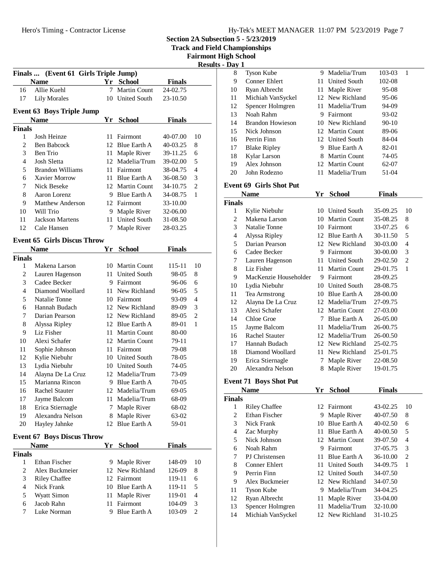| Hy-Tek's MEET MANAGER 11:07 PM 5/23/2019 Page 7 |  |  |
|-------------------------------------------------|--|--|
|                                                 |  |  |

**Track and Field Championships**

**Fairmont High School**

**Results - Day 1**

| <b>Finals</b>            | (Event 61 Girls Triple Jump)       |    |                     |               | ілсэші                   |
|--------------------------|------------------------------------|----|---------------------|---------------|--------------------------|
|                          | <b>Name</b>                        |    | Yr School           | <b>Finals</b> |                          |
| 16                       | Allie Kuehl                        | 7  | Martin Count        | 24-02.75      |                          |
| 17                       | <b>Lily Morales</b>                |    | 10 United South     | 23-10.50      |                          |
|                          |                                    |    |                     |               |                          |
|                          | <b>Event 63 Boys Triple Jump</b>   |    |                     |               |                          |
|                          | <b>Name</b>                        |    | Yr School           | <b>Finals</b> |                          |
| <b>Finals</b>            |                                    |    |                     |               |                          |
| 1                        | Josh Heinze                        | 11 | Fairmont            | 40-07.00      | 10                       |
| 2                        | <b>Ben Babcock</b>                 | 12 | Blue Earth A        | 40-03.25      | 8                        |
| 3                        | Ben Trio                           | 11 | Maple River         | 39-11.25      | 6                        |
| $\overline{4}$           | Josh Sletta                        | 12 | Madelia/Trum        | 39-02.00      | 5                        |
| 5                        | <b>Brandon Williams</b>            |    | 11 Fairmont         | 38-04.75      | $\overline{4}$           |
| 6                        | Xavier Morrow                      |    | 11 Blue Earth A     | 36-08.50      | 3                        |
| 7                        | Nick Beseke                        |    | 12 Martin Count     | 34-10.75      | $\overline{c}$           |
| 8                        | Aaron Lorenz                       |    | 9 Blue Earth A      | 34-08.75      | 1                        |
| 9                        | <b>Matthew Anderson</b>            |    | 12 Fairmont         | 33-10.00      |                          |
| 10                       | Will Trio                          |    | 9 Maple River       | 32-06.00      |                          |
| 11                       | <b>Jackson Martens</b>             | 11 | <b>United South</b> | 31-08.50      |                          |
| 12                       | Cale Hansen                        | 7  | Maple River         | 28-03.25      |                          |
|                          | <b>Event 65 Girls Discus Throw</b> |    |                     |               |                          |
|                          | <b>Name</b>                        | Yr | <b>School</b>       | <b>Finals</b> |                          |
| <b>Finals</b>            |                                    |    |                     |               |                          |
| 1                        | Makena Larson                      |    | 10 Martin Count     | 115-11        | 10                       |
| 2                        | Lauren Hagenson                    |    | 11 United South     | 98-05         | 8                        |
| 3                        | Cadee Becker                       |    | 9 Fairmont          | 96-06         | 6                        |
| 4                        | Diamond Woollard                   |    | 11 New Richland     | 96-05         | 5                        |
| 5                        | <b>Natalie Tonne</b>               |    | 10 Fairmont         | 93-09         | $\overline{4}$           |
| 6                        | Hannah Budach                      |    | 12 New Richland     | 89-09         | 3                        |
| 7                        | Darian Pearson                     |    | 12 New Richland     | 89-05         | $\overline{2}$           |
| 8                        | Alyssa Ripley                      |    | 12 Blue Earth A     | 89-01         | 1                        |
| 9                        | Liz Fisher                         |    | 11 Martin Count     | 80-00         |                          |
| 10                       | Alexi Schafer                      |    | 12 Martin Count     | 79-11         |                          |
| 11                       | Sophie Johnson                     |    | 11 Fairmont         | 79-08         |                          |
| 12                       | Kylie Niebuhr                      |    | 10 United South     | 78-05         |                          |
| 13                       | Lydia Niebuhr                      |    | 10 United South     | 74-05         |                          |
| 14                       | Alayna De La Cruz                  |    | 12 Madelia/Trum     | 73-09         |                          |
| 15                       | Marianna Rincon                    |    | 9 Blue Earth A      | 70-05         |                          |
| 16                       | Rachel Stauter                     |    | 12 Madelia/Trum     | 69-05         |                          |
| 17                       | Jayme Balcom                       | 11 | Madelia/Trum        | 68-09         |                          |
| 18                       | Erica Stiernagle                   | 7  | Maple River         | 68-02         |                          |
| 19                       | Alexandra Nelson                   | 8  | Maple River         | 63-02         |                          |
| 20                       | Hayley Jahnke                      | 12 | Blue Earth A        | 59-01         |                          |
|                          | <b>Event 67 Boys Discus Throw</b>  |    |                     |               |                          |
|                          | <b>Name</b>                        |    | Yr School           | <b>Finals</b> |                          |
| <b>Finals</b>            |                                    |    |                     |               |                          |
| 1                        | Ethan Fischer                      | 9  | Maple River         | 148-09        | 10                       |
| 2                        | Alex Buckmeier                     | 12 | New Richland        | 126-09        | 8                        |
| 3                        | <b>Riley Chaffee</b>               |    | 12 Fairmont         | 119-11        | 6                        |
| $\overline{\mathcal{L}}$ | Nick Frank                         | 10 | Blue Earth A        | 119-11        | 5                        |
| 5                        | Wyatt Simon                        | 11 | Maple River         | 119-01        | $\overline{\mathcal{L}}$ |
| 6                        | Jacob Rahn                         | 11 | Fairmont            | 104-09        | 3                        |
| 7                        | Luke Norman                        | 9  | Blue Earth A        | 103-09        | $\mathfrak{2}$           |
|                          |                                    |    |                     |               |                          |

| 8              | <b>Tyson Kube</b>              |      | 9 Madelia/Trum      | 103-03        | 1              |
|----------------|--------------------------------|------|---------------------|---------------|----------------|
| 9              | Conner Ehlert                  |      | 11 United South     | 102-08        |                |
| 10             | Ryan Albrecht                  | 11   | Maple River         | 95-08         |                |
| 11             | Michiah VanSyckel              |      | 12 New Richland     | 95-06         |                |
| 12             | Spencer Holmgren               |      | 11 Madelia/Trum     | 94-09         |                |
| 13             | Noah Rahm                      |      | 9 Fairmont          | 93-02         |                |
| 14             | <b>Brandon Howieson</b>        |      | 10 New Richland     | $90 - 10$     |                |
| 15             | Nick Johnson                   |      | 12 Martin Count     | 89-06         |                |
| 16             | Perrin Finn                    |      | 12 United South     | 84-04         |                |
| 17             | <b>Blake Ripley</b>            |      | 9 Blue Earth A      | 82-01         |                |
| 18             | Kylar Larson                   |      | 8 Martin Count      | 74-05         |                |
| 19             | Alex Johnson                   |      | 12 Martin Count     | 62-07         |                |
| 20             | John Rodezno                   |      | 11 Madelia/Trum     | 51-04         |                |
|                |                                |      |                     |               |                |
|                | <b>Event 69 Girls Shot Put</b> |      |                     |               |                |
|                | <b>Name</b>                    |      | Yr School           | <b>Finals</b> |                |
| <b>Finals</b>  |                                |      |                     |               |                |
| 1              | Kylie Niebuhr                  |      | 10 United South     | 35-09.25      | 10             |
| 2              | Makena Larson                  |      | 10 Martin Count     | 35-08.25      | 8              |
| 3              | <b>Natalie Tonne</b>           |      | 10 Fairmont         | 33-07.25      | 6              |
| $\overline{4}$ | Alyssa Ripley                  |      | 12 Blue Earth A     | 30-11.50      | 5              |
| 5              | Darian Pearson                 |      | 12 New Richland     | 30-03.00      | 4              |
| 6              | Cadee Becker                   |      | 9 Fairmont          | 30-00.00      | 3              |
| 7              | Lauren Hagenson                |      | 11 United South     | 29-02.50      | 2              |
| 8              | Liz Fisher                     |      | 11 Martin Count     | 29-01.75      | $\mathbf{1}$   |
| 9              | MacKenzie Householder          |      | 9 Fairmont          | 28-09.25      |                |
| 10             | Lydia Niebuhr                  |      | 10 United South     | 28-08.75      |                |
| 11             | Tea Armstrong                  |      | 10 Blue Earth A     | 28-00.00      |                |
| 12             | Alayna De La Cruz              |      | 12 Madelia/Trum     | 27-09.75      |                |
| 13             | Alexi Schafer                  |      | 12 Martin Count     | 27-03.00      |                |
| 14             | Chloe Groe                     |      | 7 Blue Earth A      | 26-05.00      |                |
| 15             | Jayme Balcom                   |      | 11 Madelia/Trum     | 26-00.75      |                |
| 16             | <b>Rachel Stauter</b>          |      | 12 Madelia/Trum     | 26-00.50      |                |
| 17             | Hannah Budach                  |      | 12 New Richland     | 25-02.75      |                |
| 18             | Diamond Woollard               |      | 11 New Richland     | 25-01.75      |                |
| 19             | Erica Stiernagle               | 7    | Maple River         | 22-08.50      |                |
| 20             | Alexandra Nelson               | 8    | Maple River         | 19-01.75      |                |
|                | <b>Event 71 Boys Shot Put</b>  |      |                     |               |                |
|                | <b>Name</b>                    | Yr   | <b>School</b>       | <b>Finals</b> |                |
| <b>Finals</b>  |                                |      |                     |               |                |
| 1              | <b>Riley Chaffee</b>           |      | 12 Fairmont         | 43-02.25      | 10             |
| $\overline{2}$ | Ethan Fischer                  | 9.   | Maple River         | 40-07.50      | 8              |
| 3              | Nick Frank                     |      | 10 Blue Earth A     | 40-02.50      | 6              |
| $\overline{4}$ | Zac Murphy                     |      | 11 Blue Earth A     | 40-00.50      | 5              |
| 5              | Nick Johnson                   |      | 12 Martin Count     | 39-07.50      | 4              |
| 6              | Noah Rahm                      |      | 9 Fairmont          | 37-05.75      | 3              |
| 7              | PJ Christensen                 | 11 - | Blue Earth A        | 36-10.00      | $\overline{c}$ |
| 8              | Conner Ehlert                  | 11 - | <b>United South</b> | 34-09.75      | 1              |
| 9              | Perrin Finn                    |      | 12 United South     | 34-07.50      |                |
| 9              | Alex Buckmeier                 |      | 12 New Richland     | 34-07.50      |                |
| 11             | Tyson Kube                     |      | 9 Madelia/Trum      | 34-04.25      |                |
| 12             | Ryan Albrecht                  | 11   | Maple River         | 33-04.00      |                |
| 13             | Spencer Holmgren               | 11   | Madelia/Trum        | 32-10.00      |                |
| 14             | Michiah VanSyckel              |      | 12 New Richland     | 31-10.25      |                |
|                |                                |      |                     |               |                |